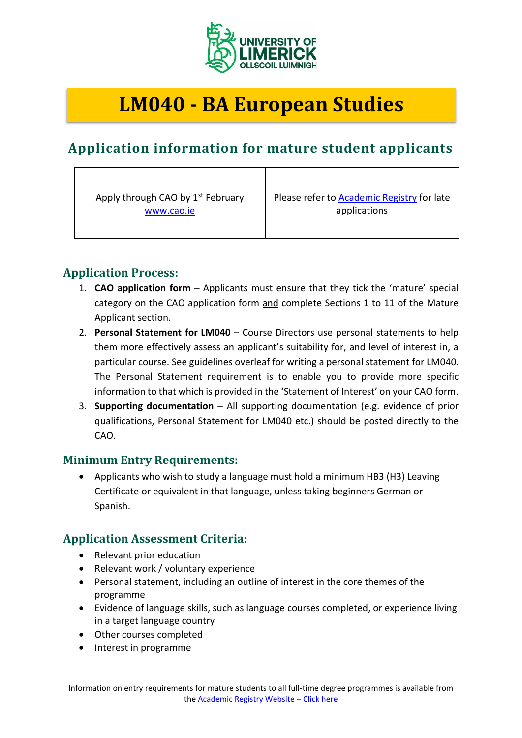

# **LM040 - BA European Studies**

# **Application information for mature student applicants**

Apply through CAO by 1<sup>st</sup> February [www.cao.ie](http://www.cao.ie/)

Please refer to [Academic Registry](https://www.ul.ie/academic-registry/prospective-students/applying-ul) for late applications

# **Application Process:**

- 1. **CAO application form** Applicants must ensure that they tick the 'mature' special category on the CAO application form and complete Sections 1 to 11 of the Mature Applicant section.
- 2. **Personal Statement for LM040** Course Directors use personal statements to help them more effectively assess an applicant's suitability for, and level of interest in, a particular course. See guidelines overleaf for writing a personal statement for LM040. The Personal Statement requirement is to enable you to provide more specific information to that which is provided in the 'Statement of Interest' on your CAO form.
- 3. **Supporting documentation** All supporting documentation (e.g. evidence of prior qualifications, Personal Statement for LM040 etc.) should be posted directly to the CAO.

#### **Minimum Entry Requirements:**

• Applicants who wish to study a language must hold a minimum HB3 (H3) Leaving Certificate or equivalent in that language, unless taking beginners German or Spanish.

# **Application Assessment Criteria:**

- Relevant prior education
- Relevant work / voluntary experience
- Personal statement, including an outline of interest in the core themes of the programme
- Evidence of language skills, such as language courses completed, or experience living in a target language country
- Other courses completed
- Interest in programme